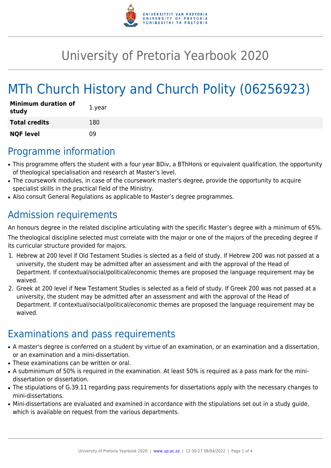

# University of Pretoria Yearbook 2020

# MTh Church History and Church Polity (06256923)

| <b>Minimum duration of</b><br>study | 1 year |
|-------------------------------------|--------|
| <b>Total credits</b>                | 180    |
| <b>NQF level</b>                    | n۹     |

### Programme information

- This programme offers the student with a four year BDiv, a BThHons or equivalent qualification, the opportunity of theological specialisation and research at Master's level.
- The coursework modules, in case of the coursework master's degree, provide the opportunity to acquire specialist skills in the practical field of the Ministry.
- Also consult General Regulations as applicable to Master's degree programmes.

## Admission requirements

An honours degree in the related discipline articulating with the specific Master's degree with a minimum of 65%.

The theological discipline selected must correlate with the major or one of the majors of the preceding degree if its curricular structure provided for majors.

- 1. Hebrew at 200 level if Old Testament Studies is slected as a field of study. If Hebrew 200 was not passed at a university, the student may be admitted after an assessment and with the approval of the Head of Department. If contextual/social/political/economic themes are proposed the language requirement may be waived.
- 2. Greek at 200 level if New Testament Studies is selected as a field of study. If Greek 200 was not passed at a university, the student may be admitted after an assessment and with the approval of the Head of Department. If contextual/social/political/economic themes are proposed the language requirement may be waived.

## Examinations and pass requirements

- A master's degree is conferred on a student by virtue of an examination, or an examination and a dissertation, or an examination and a mini-dissertation.
- These examinations can be written or oral.
- A subminimum of 50% is required in the examination. At least 50% is required as a pass mark for the minidissertation or dissertation.
- The stipulations of G.39.11 regarding pass requirements for dissertations apply with the necessary changes to mini-dissertations.
- Mini-dissertations are evaluated and examined in accordance with the stipulations set out in a study guide, which is available on request from the various departments.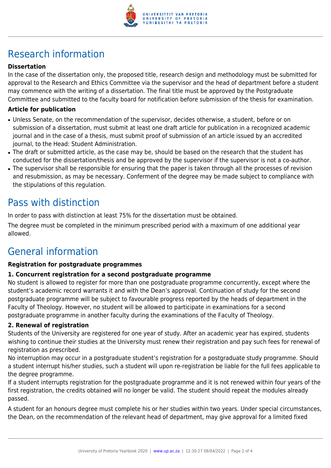

# Research information

### **Dissertation**

In the case of the dissertation only, the proposed title, research design and methodology must be submitted for approval to the Research and Ethics Committee via the supervisor and the head of department before a student may commence with the writing of a dissertation. The final title must be approved by the Postgraduate Committee and submitted to the faculty board for notification before submission of the thesis for examination.

#### **Article for publication**

- Unless Senate, on the recommendation of the supervisor, decides otherwise, a student, before or on submission of a dissertation, must submit at least one draft article for publication in a recognized academic journal and in the case of a thesis, must submit proof of submission of an article issued by an accredited journal, to the Head: Student Administration.
- The draft or submitted article, as the case may be, should be based on the research that the student has conducted for the dissertation/thesis and be approved by the supervisor if the supervisor is not a co-author.
- The supervisor shall be responsible for ensuring that the paper is taken through all the processes of revision and resubmission, as may be necessary. Conferment of the degree may be made subject to compliance with the stipulations of this regulation.

### Pass with distinction

In order to pass with distinction at least 75% for the dissertation must be obtained.

The degree must be completed in the minimum prescribed period with a maximum of one additional year allowed.

### General information

#### **Registration for postgraduate programmes**

#### **1. Concurrent registration for a second postgraduate programme**

No student is allowed to register for more than one postgraduate programme concurrently, except where the student's academic record warrants it and with the Dean's approval. Continuation of study for the second postgraduate programme will be subject to favourable progress reported by the heads of department in the Faculty of Theology. However, no student will be allowed to participate in examinations for a second postgraduate programme in another faculty during the examinations of the Faculty of Theology.

#### **2. Renewal of registration**

Students of the University are registered for one year of study. After an academic year has expired, students wishing to continue their studies at the University must renew their registration and pay such fees for renewal of registration as prescribed.

No interruption may occur in a postgraduate student's registration for a postgraduate study programme. Should a student interrupt his/her studies, such a student will upon re-registration be liable for the full fees applicable to the degree programme.

If a student interrupts registration for the postgraduate programme and it is not renewed within four years of the first registration, the credits obtained will no longer be valid. The student should repeat the modules already passed.

A student for an honours degree must complete his or her studies within two years. Under special circumstances, the Dean, on the recommendation of the relevant head of department, may give approval for a limited fixed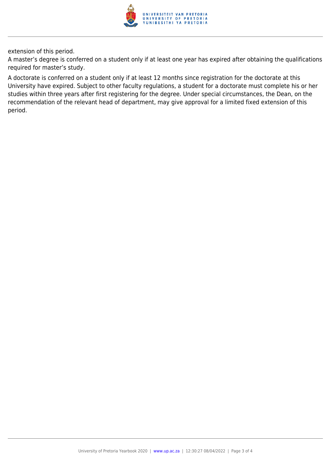

extension of this period.

A master's degree is conferred on a student only if at least one year has expired after obtaining the qualifications required for master's study.

A doctorate is conferred on a student only if at least 12 months since registration for the doctorate at this University have expired. Subject to other faculty regulations, a student for a doctorate must complete his or her studies within three years after first registering for the degree. Under special circumstances, the Dean, on the recommendation of the relevant head of department, may give approval for a limited fixed extension of this period.